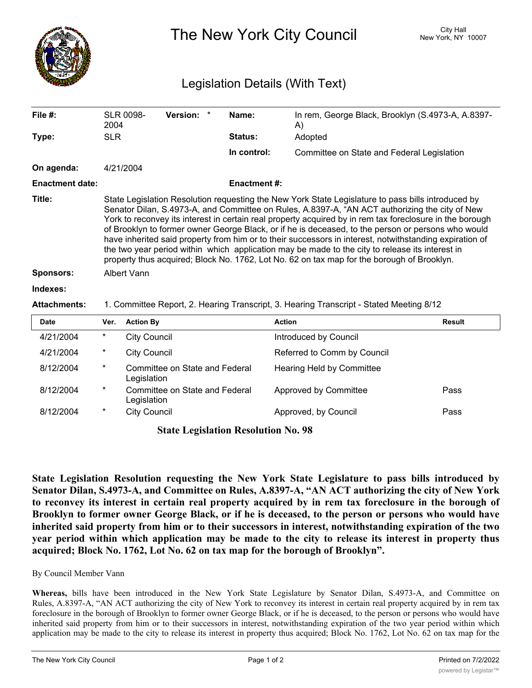

The New York City Council New York, NY 10007

## Legislation Details (With Text)

| File #:                | 2004                                                                                                                                                                                                                                                                                                                                                                                                                                                                                                                                                                                                                                                                                                                               | <b>SLR 0098-</b>                              | <b>Version:</b>                | $\star$ | Name:              | In rem, George Black, Brooklyn (S.4973-A, A.8397-<br>A) |               |
|------------------------|------------------------------------------------------------------------------------------------------------------------------------------------------------------------------------------------------------------------------------------------------------------------------------------------------------------------------------------------------------------------------------------------------------------------------------------------------------------------------------------------------------------------------------------------------------------------------------------------------------------------------------------------------------------------------------------------------------------------------------|-----------------------------------------------|--------------------------------|---------|--------------------|---------------------------------------------------------|---------------|
| Type:                  | <b>SLR</b>                                                                                                                                                                                                                                                                                                                                                                                                                                                                                                                                                                                                                                                                                                                         |                                               |                                |         | <b>Status:</b>     | Adopted                                                 |               |
|                        |                                                                                                                                                                                                                                                                                                                                                                                                                                                                                                                                                                                                                                                                                                                                    |                                               |                                |         | In control:        | Committee on State and Federal Legislation              |               |
| On agenda:             |                                                                                                                                                                                                                                                                                                                                                                                                                                                                                                                                                                                                                                                                                                                                    | 4/21/2004                                     |                                |         |                    |                                                         |               |
| <b>Enactment date:</b> |                                                                                                                                                                                                                                                                                                                                                                                                                                                                                                                                                                                                                                                                                                                                    |                                               |                                |         | <b>Enactment#:</b> |                                                         |               |
| Title:                 | State Legislation Resolution requesting the New York State Legislature to pass bills introduced by<br>Senator Dilan, S.4973-A, and Committee on Rules, A.8397-A, "AN ACT authorizing the city of New<br>York to reconvey its interest in certain real property acquired by in rem tax foreclosure in the borough<br>of Brooklyn to former owner George Black, or if he is deceased, to the person or persons who would<br>have inherited said property from him or to their successors in interest, notwithstanding expiration of<br>the two year period within which application may be made to the city to release its interest in<br>property thus acquired; Block No. 1762, Lot No. 62 on tax map for the borough of Brooklyn. |                                               |                                |         |                    |                                                         |               |
| <b>Sponsors:</b>       | <b>Albert Vann</b>                                                                                                                                                                                                                                                                                                                                                                                                                                                                                                                                                                                                                                                                                                                 |                                               |                                |         |                    |                                                         |               |
| Indexes:               |                                                                                                                                                                                                                                                                                                                                                                                                                                                                                                                                                                                                                                                                                                                                    |                                               |                                |         |                    |                                                         |               |
| <b>Attachments:</b>    | 1. Committee Report, 2. Hearing Transcript, 3. Hearing Transcript - Stated Meeting 8/12                                                                                                                                                                                                                                                                                                                                                                                                                                                                                                                                                                                                                                            |                                               |                                |         |                    |                                                         |               |
| Date                   | Ver.                                                                                                                                                                                                                                                                                                                                                                                                                                                                                                                                                                                                                                                                                                                               | <b>Action By</b>                              |                                |         |                    | <b>Action</b>                                           | <b>Result</b> |
| 4/21/2004              | $^\star$                                                                                                                                                                                                                                                                                                                                                                                                                                                                                                                                                                                                                                                                                                                           | <b>City Council</b>                           |                                |         |                    | Introduced by Council                                   |               |
| 4/21/2004              | *                                                                                                                                                                                                                                                                                                                                                                                                                                                                                                                                                                                                                                                                                                                                  | <b>City Council</b>                           |                                |         |                    | Referred to Comm by Council                             |               |
| 8/12/2004              | *                                                                                                                                                                                                                                                                                                                                                                                                                                                                                                                                                                                                                                                                                                                                  | Legislation                                   | Committee on State and Federal |         |                    | <b>Hearing Held by Committee</b>                        |               |
| 8/12/2004              | $^\star$                                                                                                                                                                                                                                                                                                                                                                                                                                                                                                                                                                                                                                                                                                                           | Committee on State and Federal<br>Legislation |                                |         |                    | Approved by Committee                                   | Pass          |
| 8/12/2004              | *                                                                                                                                                                                                                                                                                                                                                                                                                                                                                                                                                                                                                                                                                                                                  | <b>City Council</b>                           |                                |         |                    | Approved, by Council                                    | Pass          |

**State Legislation Resolution No. 98**

**State Legislation Resolution requesting the New York State Legislature to pass bills introduced by Senator Dilan, S.4973-A, and Committee on Rules, A.8397-A, "AN ACT authorizing the city of New York** to reconvey its interest in certain real property acquired by in rem tax foreclosure in the borough of Brooklyn to former owner George Black, or if he is deceased, to the person or persons who would have **inherited said property from him or to their successors in interest, notwithstanding expiration of the two** year period within which application may be made to the city to release its interest in property thus **acquired; Block No. 1762, Lot No. 62 on tax map for the borough of Brooklyn".**

## By Council Member Vann

**Whereas,** bills have been introduced in the New York State Legislature by Senator Dilan, S.4973-A, and Committee on Rules, A.8397-A, "AN ACT authorizing the city of New York to reconvey its interest in certain real property acquired by in rem tax foreclosure in the borough of Brooklyn to former owner George Black, or if he is deceased, to the person or persons who would have inherited said property from him or to their successors in interest, notwithstanding expiration of the two year period within which application may be made to the city to release its interest in property thus acquired; Block No. 1762, Lot No. 62 on tax map for the